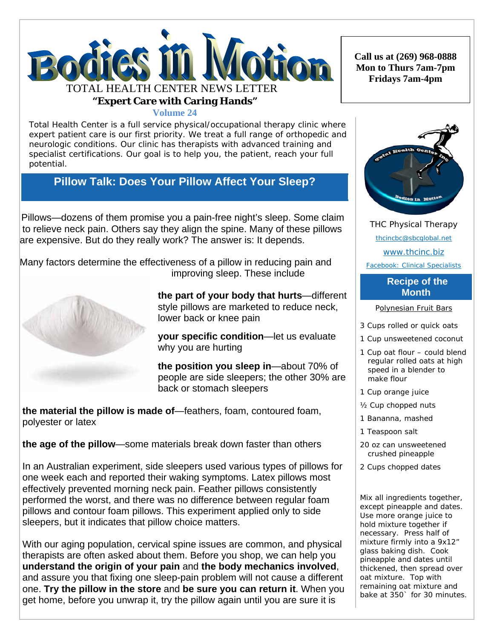

**Volume 24**

Total Health Center is a full service physical/occupational therapy clinic where expert patient care is our first priority. We treat a full range of orthopedic and neurologic conditions. Our clinic has therapists with advanced training and specialist certifications. Our goal is to help you, the patient, reach your full potential.

## **Pillow Talk: Does Your Pillow Affect Your Sleep?**

Pillows—dozens of them promise you a pain-free night's sleep. Some claim to relieve neck pain. Others say they align the spine. Many of these pillows are expensive. But do they really work? The answer is: It depends.

 Many factors determine the effectiveness of a pillow in reducing pain and improving sleep. These include



**the part of your body that hurts**—different style pillows are marketed to reduce neck, lower back or knee pain

**your specific condition**—let us evaluate why you are hurting

**the position you sleep in**—about 70% of people are side sleepers; the other 30% are back or stomach sleepers

 **the material the pillow is made of**—feathers, foam, contoured foam, polyester or latex

 **the age of the pillow**—some materials break down faster than others

 In an Australian experiment, side sleepers used various types of pillows for one week each and reported their waking symptoms. Latex pillows most effectively prevented morning neck pain. Feather pillows consistently performed the worst, and there was no difference between regular foam pillows and contour foam pillows. This experiment applied only to side sleepers, but it indicates that pillow choice matters.

 With our aging population, cervical spine issues are common, and physical therapists are often asked about them. Before you shop, we can help you **understand the origin of your pain** and **the body mechanics involved**, and assure you that fixing one sleep-pain problem will not cause a different one. **Try the pillow in the store** and **be sure you can return it**. When you get home, before you unwrap it, try the pillow again until you are sure it is

**Call us at (269) 968-0888 Mon to Thurs 7am-7pm Fridays 7am-4pm** 



THC Physical Therapy thcincbc@sbcglobal.net www.thcinc.biz

Facebook: Clinical Specialists

## **Recipe of the Month**

Polynesian Fruit Bars

- 3 Cups rolled or quick oats
- 1 Cup unsweetened coconut
- 1 Cup oat flour could blend regular rolled oats at high speed in a blender to make flour
- 1 Cup orange juice
- ½ Cup chopped nuts
- 1 Bananna, mashed
- 1 Teaspoon salt
- 20 oz can unsweetened crushed pineapple
- 2 Cups chopped dates

Mix all ingredients together, except pineapple and dates. Use more orange juice to hold mixture together if necessary. Press half of mixture firmly into a 9x12" glass baking dish. Cook pineapple and dates until thickened, then spread over oat mixture. Top with remaining oat mixture and bake at 350` for 30 minutes.